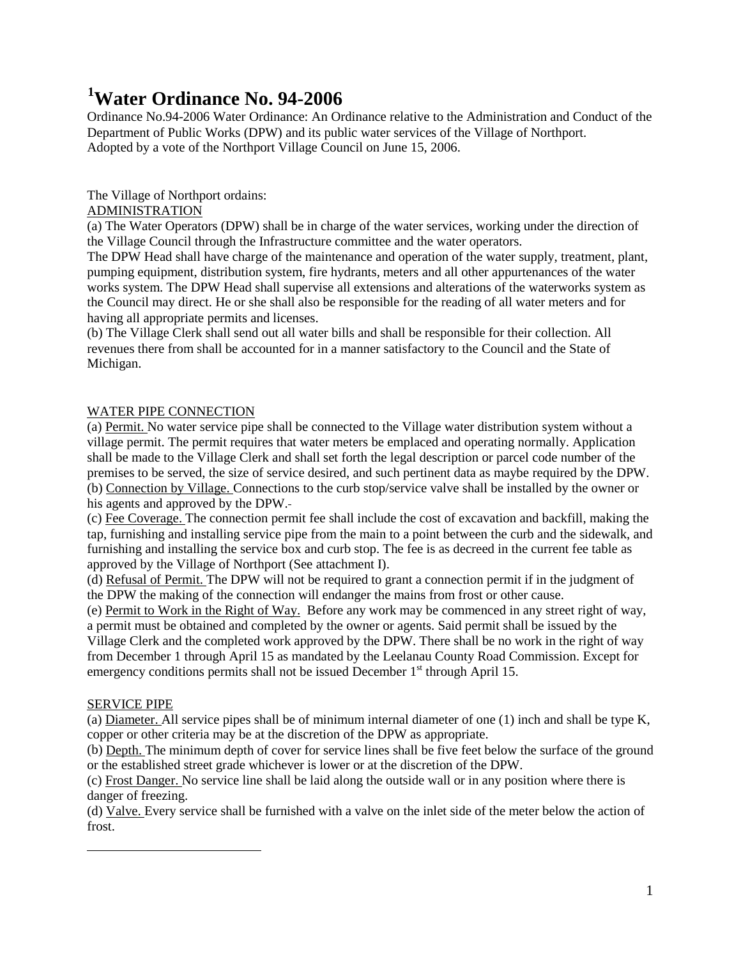# **[1](#page-0-0) Water Ordinance No. 94-2006**

Ordinance No.94-2006 Water Ordinance: An Ordinance relative to the Administration and Conduct of the Department of Public Works (DPW) and its public water services of the Village of Northport. Adopted by a vote of the Northport Village Council on June 15, 2006.

# The Village of Northport ordains:

# ADMINISTRATION

(a) The Water Operators (DPW) shall be in charge of the water services, working under the direction of the Village Council through the Infrastructure committee and the water operators.

The DPW Head shall have charge of the maintenance and operation of the water supply, treatment, plant, pumping equipment, distribution system, fire hydrants, meters and all other appurtenances of the water works system. The DPW Head shall supervise all extensions and alterations of the waterworks system as the Council may direct. He or she shall also be responsible for the reading of all water meters and for having all appropriate permits and licenses.

(b) The Village Clerk shall send out all water bills and shall be responsible for their collection. All revenues there from shall be accounted for in a manner satisfactory to the Council and the State of Michigan.

# WATER PIPE CONNECTION

(a) Permit. No water service pipe shall be connected to the Village water distribution system without a village permit. The permit requires that water meters be emplaced and operating normally. Application shall be made to the Village Clerk and shall set forth the legal description or parcel code number of the premises to be served, the size of service desired, and such pertinent data as maybe required by the DPW. (b) Connection by Village. Connections to the curb stop/service valve shall be installed by the owner or his agents and approved by the DPW.

(c) Fee Coverage. The connection permit fee shall include the cost of excavation and backfill, making the tap, furnishing and installing service pipe from the main to a point between the curb and the sidewalk, and furnishing and installing the service box and curb stop. The fee is as decreed in the current fee table as approved by the Village of Northport (See attachment I).

(d) Refusal of Permit. The DPW will not be required to grant a connection permit if in the judgment of the DPW the making of the connection will endanger the mains from frost or other cause.

(e) Permit to Work in the Right of Way. Before any work may be commenced in any street right of way, a permit must be obtained and completed by the owner or agents. Said permit shall be issued by the Village Clerk and the completed work approved by the DPW. There shall be no work in the right of way from December 1 through April 15 as mandated by the Leelanau County Road Commission. Except for emergency conditions permits shall not be issued December  $1<sup>st</sup>$  through April 15.

# SERVICE PIPE

<span id="page-0-0"></span> $\overline{a}$ 

(a) Diameter. All service pipes shall be of minimum internal diameter of one (1) inch and shall be type K, copper or other criteria may be at the discretion of the DPW as appropriate.

(b) Depth. The minimum depth of cover for service lines shall be five feet below the surface of the ground or the established street grade whichever is lower or at the discretion of the DPW.

(c) Frost Danger. No service line shall be laid along the outside wall or in any position where there is danger of freezing.

(d) Valve. Every service shall be furnished with a valve on the inlet side of the meter below the action of frost.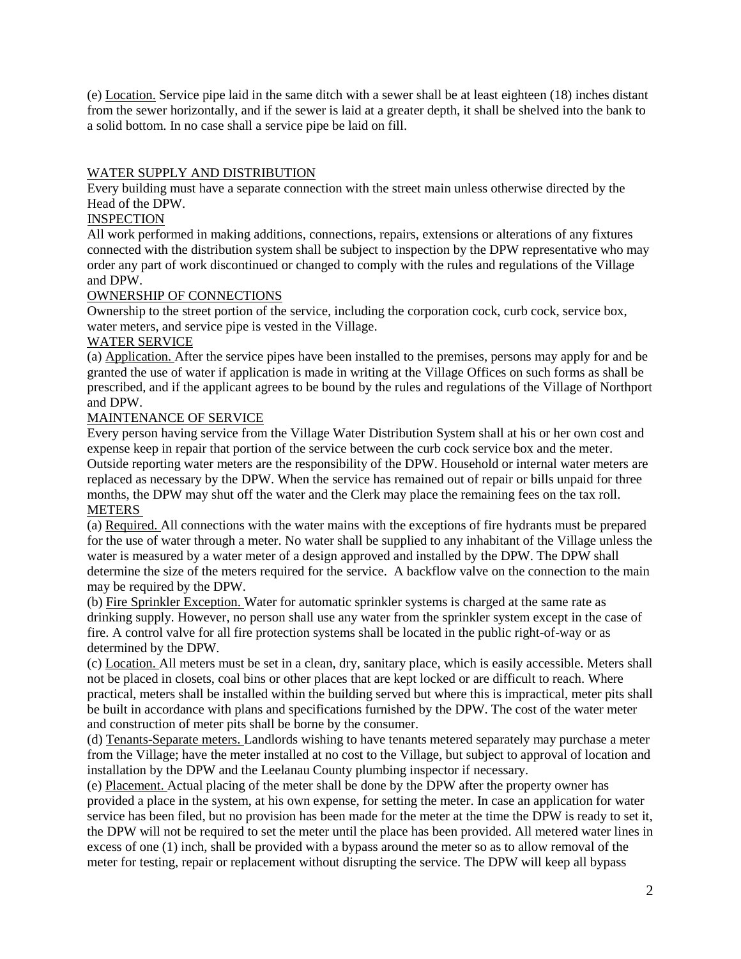(e) Location. Service pipe laid in the same ditch with a sewer shall be at least eighteen (18) inches distant from the sewer horizontally, and if the sewer is laid at a greater depth, it shall be shelved into the bank to a solid bottom. In no case shall a service pipe be laid on fill.

# WATER SUPPLY AND DISTRIBUTION

Every building must have a separate connection with the street main unless otherwise directed by the Head of the DPW.

## **INSPECTION**

All work performed in making additions, connections, repairs, extensions or alterations of any fixtures connected with the distribution system shall be subject to inspection by the DPW representative who may order any part of work discontinued or changed to comply with the rules and regulations of the Village and DPW.

## OWNERSHIP OF CONNECTIONS

Ownership to the street portion of the service, including the corporation cock, curb cock, service box, water meters, and service pipe is vested in the Village.

## WATER SERVICE

(a) Application. After the service pipes have been installed to the premises, persons may apply for and be granted the use of water if application is made in writing at the Village Offices on such forms as shall be prescribed, and if the applicant agrees to be bound by the rules and regulations of the Village of Northport and DPW.

## MAINTENANCE OF SERVICE

Every person having service from the Village Water Distribution System shall at his or her own cost and expense keep in repair that portion of the service between the curb cock service box and the meter. Outside reporting water meters are the responsibility of the DPW. Household or internal water meters are replaced as necessary by the DPW. When the service has remained out of repair or bills unpaid for three months, the DPW may shut off the water and the Clerk may place the remaining fees on the tax roll. METERS

(a) Required. All connections with the water mains with the exceptions of fire hydrants must be prepared for the use of water through a meter. No water shall be supplied to any inhabitant of the Village unless the water is measured by a water meter of a design approved and installed by the DPW. The DPW shall determine the size of the meters required for the service. A backflow valve on the connection to the main may be required by the DPW.

(b) Fire Sprinkler Exception. Water for automatic sprinkler systems is charged at the same rate as drinking supply. However, no person shall use any water from the sprinkler system except in the case of fire. A control valve for all fire protection systems shall be located in the public right-of-way or as determined by the DPW.

(c) Location. All meters must be set in a clean, dry, sanitary place, which is easily accessible. Meters shall not be placed in closets, coal bins or other places that are kept locked or are difficult to reach. Where practical, meters shall be installed within the building served but where this is impractical, meter pits shall be built in accordance with plans and specifications furnished by the DPW. The cost of the water meter and construction of meter pits shall be borne by the consumer.

(d) Tenants-Separate meters. Landlords wishing to have tenants metered separately may purchase a meter from the Village; have the meter installed at no cost to the Village, but subject to approval of location and installation by the DPW and the Leelanau County plumbing inspector if necessary.

(e) Placement. Actual placing of the meter shall be done by the DPW after the property owner has provided a place in the system, at his own expense, for setting the meter. In case an application for water service has been filed, but no provision has been made for the meter at the time the DPW is ready to set it, the DPW will not be required to set the meter until the place has been provided. All metered water lines in excess of one (1) inch, shall be provided with a bypass around the meter so as to allow removal of the meter for testing, repair or replacement without disrupting the service. The DPW will keep all bypass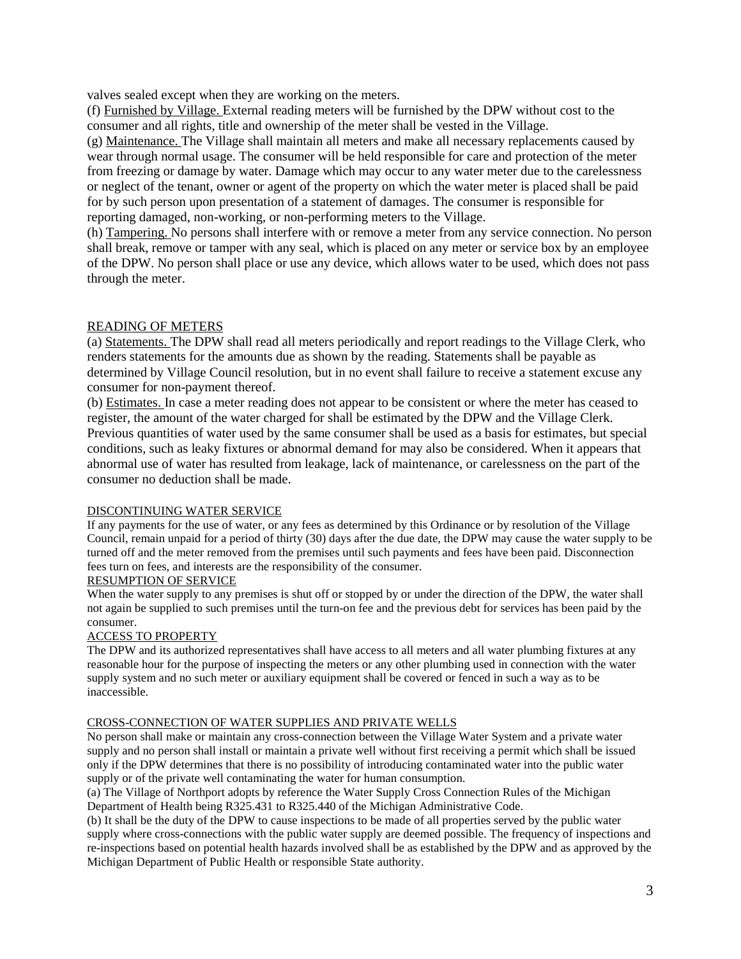valves sealed except when they are working on the meters.

(f) Furnished by Village. External reading meters will be furnished by the DPW without cost to the consumer and all rights, title and ownership of the meter shall be vested in the Village.

(g) Maintenance. The Village shall maintain all meters and make all necessary replacements caused by wear through normal usage. The consumer will be held responsible for care and protection of the meter from freezing or damage by water. Damage which may occur to any water meter due to the carelessness or neglect of the tenant, owner or agent of the property on which the water meter is placed shall be paid for by such person upon presentation of a statement of damages. The consumer is responsible for reporting damaged, non-working, or non-performing meters to the Village.

(h) Tampering. No persons shall interfere with or remove a meter from any service connection. No person shall break, remove or tamper with any seal, which is placed on any meter or service box by an employee of the DPW. No person shall place or use any device, which allows water to be used, which does not pass through the meter.

# READING OF METERS

(a) Statements. The DPW shall read all meters periodically and report readings to the Village Clerk, who renders statements for the amounts due as shown by the reading. Statements shall be payable as determined by Village Council resolution, but in no event shall failure to receive a statement excuse any consumer for non-payment thereof.

(b) Estimates. In case a meter reading does not appear to be consistent or where the meter has ceased to register, the amount of the water charged for shall be estimated by the DPW and the Village Clerk. Previous quantities of water used by the same consumer shall be used as a basis for estimates, but special conditions, such as leaky fixtures or abnormal demand for may also be considered. When it appears that abnormal use of water has resulted from leakage, lack of maintenance, or carelessness on the part of the consumer no deduction shall be made.

#### DISCONTINUING WATER SERVICE

If any payments for the use of water, or any fees as determined by this Ordinance or by resolution of the Village Council, remain unpaid for a period of thirty (30) days after the due date, the DPW may cause the water supply to be turned off and the meter removed from the premises until such payments and fees have been paid. Disconnection fees turn on fees, and interests are the responsibility of the consumer.

#### RESUMPTION OF SERVICE

When the water supply to any premises is shut off or stopped by or under the direction of the DPW, the water shall not again be supplied to such premises until the turn-on fee and the previous debt for services has been paid by the consumer.

#### ACCESS TO PROPERTY

The DPW and its authorized representatives shall have access to all meters and all water plumbing fixtures at any reasonable hour for the purpose of inspecting the meters or any other plumbing used in connection with the water supply system and no such meter or auxiliary equipment shall be covered or fenced in such a way as to be inaccessible.

## CROSS-CONNECTION OF WATER SUPPLIES AND PRIVATE WELLS

No person shall make or maintain any cross-connection between the Village Water System and a private water supply and no person shall install or maintain a private well without first receiving a permit which shall be issued only if the DPW determines that there is no possibility of introducing contaminated water into the public water supply or of the private well contaminating the water for human consumption.

(a) The Village of Northport adopts by reference the Water Supply Cross Connection Rules of the Michigan Department of Health being R325.431 to R325.440 of the Michigan Administrative Code.

(b) It shall be the duty of the DPW to cause inspections to be made of all properties served by the public water supply where cross-connections with the public water supply are deemed possible. The frequency of inspections and re-inspections based on potential health hazards involved shall be as established by the DPW and as approved by the Michigan Department of Public Health or responsible State authority.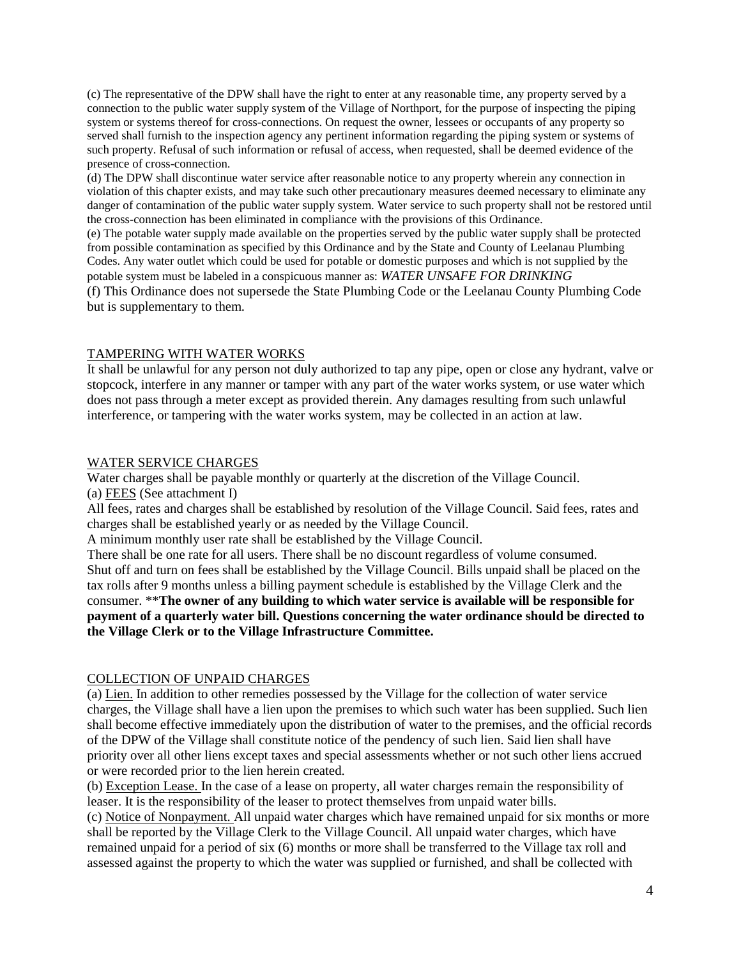(c) The representative of the DPW shall have the right to enter at any reasonable time, any property served by a connection to the public water supply system of the Village of Northport, for the purpose of inspecting the piping system or systems thereof for cross-connections. On request the owner, lessees or occupants of any property so served shall furnish to the inspection agency any pertinent information regarding the piping system or systems of such property. Refusal of such information or refusal of access, when requested, shall be deemed evidence of the presence of cross-connection.

(d) The DPW shall discontinue water service after reasonable notice to any property wherein any connection in violation of this chapter exists, and may take such other precautionary measures deemed necessary to eliminate any danger of contamination of the public water supply system. Water service to such property shall not be restored until the cross-connection has been eliminated in compliance with the provisions of this Ordinance.

(e) The potable water supply made available on the properties served by the public water supply shall be protected from possible contamination as specified by this Ordinance and by the State and County of Leelanau Plumbing Codes. Any water outlet which could be used for potable or domestic purposes and which is not supplied by the potable system must be labeled in a conspicuous manner as: *WATER UNSAFE FOR DRINKING* (f) This Ordinance does not supersede the State Plumbing Code or the Leelanau County Plumbing Code

but is supplementary to them.

### TAMPERING WITH WATER WORKS

It shall be unlawful for any person not duly authorized to tap any pipe, open or close any hydrant, valve or stopcock, interfere in any manner or tamper with any part of the water works system, or use water which does not pass through a meter except as provided therein. Any damages resulting from such unlawful interference, or tampering with the water works system, may be collected in an action at law.

## WATER SERVICE CHARGES

Water charges shall be payable monthly or quarterly at the discretion of the Village Council. (a) FEES (See attachment I)

All fees, rates and charges shall be established by resolution of the Village Council. Said fees, rates and charges shall be established yearly or as needed by the Village Council.

A minimum monthly user rate shall be established by the Village Council.

There shall be one rate for all users. There shall be no discount regardless of volume consumed. Shut off and turn on fees shall be established by the Village Council. Bills unpaid shall be placed on the tax rolls after 9 months unless a billing payment schedule is established by the Village Clerk and the consumer. \*\***The owner of any building to which water service is available will be responsible for payment of a quarterly water bill. Questions concerning the water ordinance should be directed to the Village Clerk or to the Village Infrastructure Committee.** 

## COLLECTION OF UNPAID CHARGES

(a) Lien. In addition to other remedies possessed by the Village for the collection of water service charges, the Village shall have a lien upon the premises to which such water has been supplied. Such lien shall become effective immediately upon the distribution of water to the premises, and the official records of the DPW of the Village shall constitute notice of the pendency of such lien. Said lien shall have priority over all other liens except taxes and special assessments whether or not such other liens accrued or were recorded prior to the lien herein created.

(b) Exception Lease. In the case of a lease on property, all water charges remain the responsibility of leaser. It is the responsibility of the leaser to protect themselves from unpaid water bills.

(c) Notice of Nonpayment. All unpaid water charges which have remained unpaid for six months or more shall be reported by the Village Clerk to the Village Council. All unpaid water charges, which have remained unpaid for a period of six (6) months or more shall be transferred to the Village tax roll and assessed against the property to which the water was supplied or furnished, and shall be collected with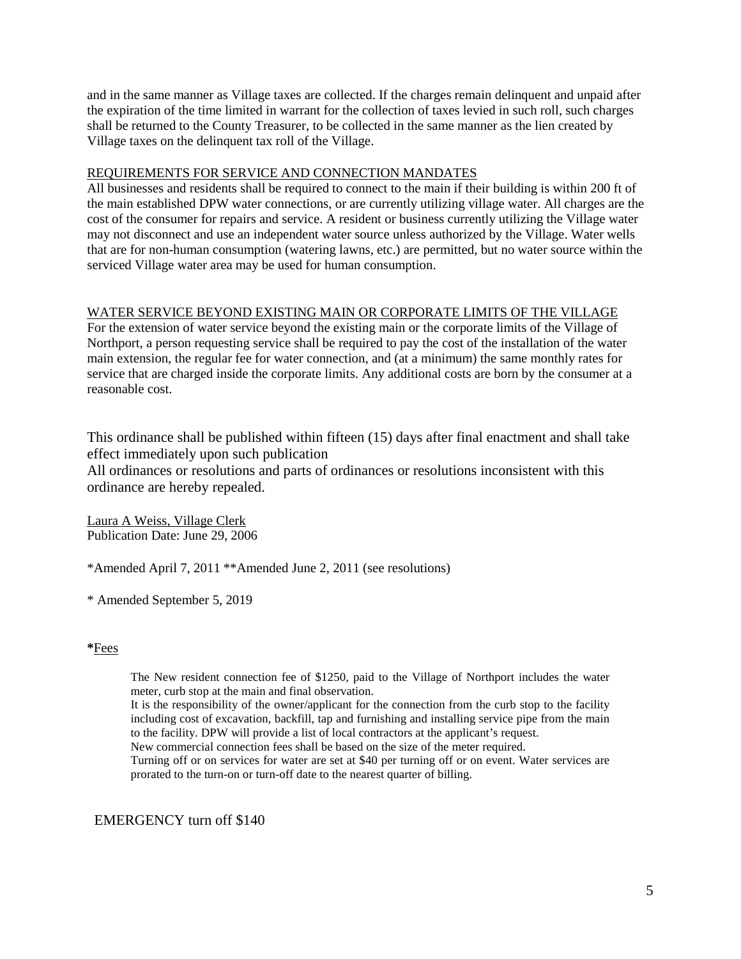and in the same manner as Village taxes are collected. If the charges remain delinquent and unpaid after the expiration of the time limited in warrant for the collection of taxes levied in such roll, such charges shall be returned to the County Treasurer, to be collected in the same manner as the lien created by Village taxes on the delinquent tax roll of the Village.

## REQUIREMENTS FOR SERVICE AND CONNECTION MANDATES

All businesses and residents shall be required to connect to the main if their building is within 200 ft of the main established DPW water connections, or are currently utilizing village water. All charges are the cost of the consumer for repairs and service. A resident or business currently utilizing the Village water may not disconnect and use an independent water source unless authorized by the Village. Water wells that are for non-human consumption (watering lawns, etc.) are permitted, but no water source within the serviced Village water area may be used for human consumption.

# WATER SERVICE BEYOND EXISTING MAIN OR CORPORATE LIMITS OF THE VILLAGE

For the extension of water service beyond the existing main or the corporate limits of the Village of Northport, a person requesting service shall be required to pay the cost of the installation of the water main extension, the regular fee for water connection, and (at a minimum) the same monthly rates for service that are charged inside the corporate limits. Any additional costs are born by the consumer at a reasonable cost.

This ordinance shall be published within fifteen (15) days after final enactment and shall take effect immediately upon such publication

All ordinances or resolutions and parts of ordinances or resolutions inconsistent with this ordinance are hereby repealed.

Laura A Weiss, Village Clerk Publication Date: June 29, 2006

\*Amended April 7, 2011 \*\*Amended June 2, 2011 (see resolutions)

\* Amended September 5, 2019

## **\***Fees

The New resident connection fee of \$1250, paid to the Village of Northport includes the water meter, curb stop at the main and final observation.

It is the responsibility of the owner/applicant for the connection from the curb stop to the facility including cost of excavation, backfill, tap and furnishing and installing service pipe from the main to the facility. DPW will provide a list of local contractors at the applicant's request.

New commercial connection fees shall be based on the size of the meter required.

Turning off or on services for water are set at \$40 per turning off or on event. Water services are prorated to the turn-on or turn-off date to the nearest quarter of billing.

# EMERGENCY turn off \$140